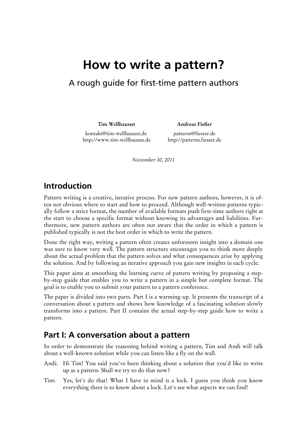# **How to write a pattern?**

## A rough guide for first-time pattern authors

**Tim Wellhausen**

**Andreas Fießer**

kontakt@tim-wellhausen.de http://www.tim-wellhausen.de

patterns@fiesser.de http://patterns.fiesser.de

*November 30, 2011*

## **Introduction**

Pattern writing is a creative, iterative process. For new pattern authors, however, it is often not obvious where to start and how to proceed. Although well-written patterns typically follow a strict format, the number of available formats push first-time authors right at the start to choose a specific format without knowing its advantages and liabilities. Furthermore, new pattern authors are often not aware that the order in which a pattern is published typically is not the best order in which to write the pattern.

Done the right way, writing a pattern often creates unforeseen insight into a domain one was sure to know very well. The pattern structure encourages you to think more deeply about the actual problem that the pattern solves and what consequences arise by applying the solution. And by following an iterative approach you gain new insights in each cycle.

This paper aims at smoothing the learning curve of pattern writing by proposing a stepby-step guide that enables you to write a pattern in a simple but complete format. The goal is to enable you to submit your pattern to a pattern conference.

The paper is divided into two parts. Part I is a warming-up. It presents the transcript of a conversation about a pattern and shows how knowledge of a fascinating solution slowly transforms into a pattern. Part II contains the actual step-by-step guide how to write a pattern.

## **Part I: A conversation about a pattern**

In order to demonstrate the reasoning behind writing a pattern, Tim and Andi will talk about a well-known solution while you can listen like a fly on the wall.

- Andi: Hi Tim! You said you've been thinking about a solution that you'd like to write up as a pattern. Shall we try to do that now?
- Tim: Yes, let's do that! What I have in mind is a lock. I guess you think you know everything there is to know about a lock. Let's see what aspects we can find!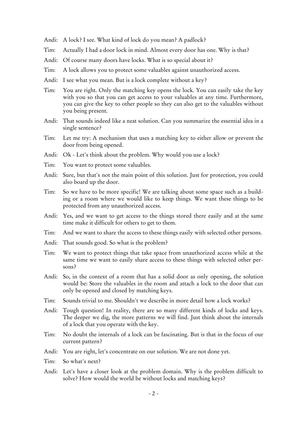- Andi: A lock? I see. What kind of lock do you mean? A padlock?
- Tim: Actually I had a door lock in mind. Almost every door has one. Why is that?
- Andi: Of course many doors have locks. What is so special about it?
- Tim: A lock allows you to protect some valuables against unauthorized access.
- Andi: I see what you mean. But is a lock complete without a key?
- Tim: You are right. Only the matching key opens the lock. You can easily take the key with you so that you can get access to your valuables at any time. Furthermore, you can give the key to other people so they can also get to the valuables without you being present.
- Andi: That sounds indeed like a neat solution. Can you summarize the essential idea in a single sentence?
- Tim: Let me try: A mechanism that uses a matching key to either allow or prevent the door from being opened.
- Andi: Ok Let's think about the problem. Why would you use a lock?
- Tim: You want to protect some valuables.
- Andi: Sure, but that's not the main point of this solution. Just for protection, you could also board up the door.
- Tim: So we have to be more specific! We are talking about some space such as a building or a room where we would like to keep things. We want these things to be protected from any unauthorized access.
- Andi: Yes, and we want to get access to the things stored there easily and at the same time make it difficult for others to get to them.
- Tim: And we want to share the access to these things easily with selected other persons.
- Andi: That sounds good. So what is the problem?
- Tim: We want to protect things that take space from unauthorized access while at the same time we want to easily share access to these things with selected other persons?
- Andi: So, in the context of a room that has a solid door as only opening, the solution would be: Store the valuables in the room and attach a lock to the door that can only be opened and closed by matching keys.
- Tim: Sounds trivial to me. Shouldn't we describe in more detail how a lock works?
- Andi: Tough question! In reality, there are so many different kinds of locks and keys. The deeper we dig, the more patterns we will find. Just think about the internals of a lock that you operate with the key.
- Tim: No doubt the internals of a lock can be fascinating. But is that in the focus of our current pattern?
- Andi: You are right, let's concentrate on our solution. We are not done yet.
- Tim: So what's next?
- Andi: Let's have a closer look at the problem domain. Why is the problem difficult to solve? How would the world be without locks and matching keys?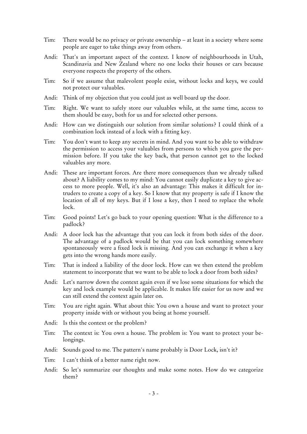- Tim: There would be no privacy or private ownership at least in a society where some people are eager to take things away from others.
- Andi: That's an important aspect of the context. I know of neighbourhoods in Utah, Scandinavia and New Zealand where no one locks their houses or cars because everyone respects the property of the others.
- Tim: So if we assume that malevolent people exist, without locks and keys, we could not protect our valuables.
- Andi: Think of my objection that you could just as well board up the door.
- Tim: Right. We want to safely store our valuables while, at the same time, access to them should be easy, both for us and for selected other persons.
- Andi: How can we distinguish our solution from similar solutions? I could think of a combination lock instead of a lock with a fitting key.
- Tim: You don't want to keep any secrets in mind. And you want to be able to withdraw the permission to access your valuables from persons to which you gave the permission before. If you take the key back, that person cannot get to the locked valuables any more.
- Andi: These are important forces. Are there more consequences than we already talked about? A liability comes to my mind: You cannot easily duplicate a key to give access to more people. Well, it's also an advantage: This makes it difficult for intruders to create a copy of a key. So I know that my property is safe if I know the location of all of my keys. But if I lose a key, then I need to replace the whole lock.
- Tim: Good points! Let's go back to your opening question: What is the difference to a padlock?
- Andi: A door lock has the advantage that you can lock it from both sides of the door. The advantage of a padlock would be that you can lock something somewhere spontaneously were a fixed lock is missing. And you can exchange it when a key gets into the wrong hands more easily.
- Tim: That is indeed a liability of the door lock. How can we then extend the problem statement to incorporate that we want to be able to lock a door from both sides?
- Andi: Let's narrow down the context again even if we lose some situations for which the key and lock example would be applicable. It makes life easier for us now and we can still extend the context again later on.
- Tim: You are right again. What about this: You own a house and want to protect your property inside with or without you being at home yourself.
- Andi: Is this the context or the problem?
- Tim: The context is: You own a house. The problem is: You want to protect your belongings.
- Andi: Sounds good to me. The pattern's name probably is Door Lock, isn't it?
- Tim: I can't think of a better name right now.
- Andi: So let's summarize our thoughts and make some notes. How do we categorize them?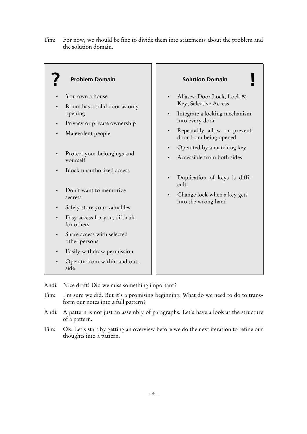Tim: For now, we should be fine to divide them into statements about the problem and the solution domain.

| <b>Problem Domain</b>                                                                                                                                                                                                                                                                                                                                                                                                                                                    | <b>Solution Domain</b>                                                                                                                                                                                                                                                                                                      |
|--------------------------------------------------------------------------------------------------------------------------------------------------------------------------------------------------------------------------------------------------------------------------------------------------------------------------------------------------------------------------------------------------------------------------------------------------------------------------|-----------------------------------------------------------------------------------------------------------------------------------------------------------------------------------------------------------------------------------------------------------------------------------------------------------------------------|
| You own a house<br>Room has a solid door as only<br>$\bullet$<br>opening<br>Privacy or private ownership<br>$\bullet$<br>Malevolent people<br>$\bullet$<br>Protect your belongings and<br>yourself<br>Block unauthorized access<br>Don't want to memorize<br>secrets<br>Safely store your valuables<br>Easy access for you, difficult<br>for others<br>Share access with selected<br>other persons<br>Easily withdraw permission<br>Operate from within and out-<br>side | Aliases: Door Lock, Lock &<br>Key, Selective Access<br>Integrate a locking mechanism<br>into every door<br>Repeatably allow or prevent<br>door from being opened<br>Operated by a matching key<br>Accessible from both sides<br>Duplication of keys is diffi-<br>cult<br>Change lock when a key gets<br>into the wrong hand |

Andi: Nice draft! Did we miss something important?

- Tim: I'm sure we did. But it's a promising beginning. What do we need to do to transform our notes into a full pattern?
- Andi: A pattern is not just an assembly of paragraphs. Let's have a look at the structure of a pattern.
- Tim: Ok. Let's start by getting an overview before we do the next iteration to refine our thoughts into a pattern.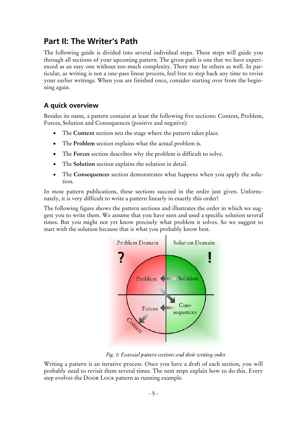## **Part II: The Writer's Path**

The following guide is divided into several individual steps. These steps will guide you through all sections of your upcoming pattern. The given path is one that we have experienced as an easy one without too much complexity. There may be others as well. In particular, as writing is not a one-pass linear process, feel free to step back any time to revise your earlier writings. When you are finished once, consider starting over from the beginning again.

## **A quick overview**

Besides its name, a pattern contains at least the following five sections: Context, Problem, Forces, Solution and Consequences (positive and negative):

- The **Context** section sets the stage where the pattern takes place.
- The **Problem** section explains what the actual problem is.
- The **Forces** section describes why the problem is difficult to solve.
- The **Solution** section explains the solution in detail.
- The **Consequences** section demonstrates what happens when you apply the solution.

In most pattern publications, these sections succeed in the order just given. Unfortunately, it is very difficult to write a pattern linearly in exactly this order!

The following figure shows the pattern sections and illustrates the order in which we suggest you to write them. We assume that you have seen and used a specific solution several times. But you might not yet know precisely what problem it solves. So we suggest to start with the solution because that is what you probably know best.



Fig. 1: Essential pattern sections and their writing order

Writing a pattern is an iterative process. Once you have a draft of each section, you will probably need to revisit them several times. The next steps explain how to do this. Every step evolves the Door Lock pattern as running example.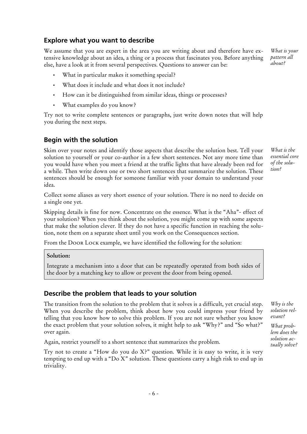## **Explore what you want to describe**

We assume that you are expert in the area you are writing about and therefore have extensive knowledge about an idea, a thing or a process that fascinates you. Before anything else, have a look at it from several perspectives. Questions to answer can be:

- What in particular makes it something special?
- What does it include and what does it not include?
- How can it be distinguished from similar ideas, things or processes?
- What examples do you know?

Try not to write complete sentences or paragraphs, just write down notes that will help you during the next steps.

#### **Begin with the solution**

Skim over your notes and identify those aspects that describe the solution best. Tell your solution to yourself or your co-author in a few short sentences. Not any more time than you would have when you meet a friend at the traffic lights that have already been red for a while. Then write down one or two short sentences that summarize the solution. These sentences should be enough for someone familiar with your domain to understand your idea.

Collect some aliases as very short essence of your solution. There is no need to decide on a single one yet.

Skipping details is fine for now. Concentrate on the essence. What is the "Aha"- effect of your solution? When you think about the solution, you might come up with some aspects that make the solution clever. If they do not have a specific function in reaching the solution, note them on a separate sheet until you work on the Consequences section.

From the Door Lock example, we have identified the following for the solution:

#### **Solution:**

Integrate a mechanism into a door that can be repeatedly operated from both sides of the door by a matching key to allow or prevent the door from being opened.

#### **Describe the problem that leads to your solution**

The transition from the solution to the problem that it solves is a difficult, yet crucial step. When you describe the problem, think about how you could impress your friend by telling that you know how to solve this problem. If you are not sure whether you know the exact problem that your solution solves, it might help to ask "Why?" and "So what?" over again.

Again, restrict yourself to a short sentence that summarizes the problem.

Try not to create a "How do you do X?" question. While it is easy to write, it is very tempting to end up with a "Do X" solution. These questions carry a high risk to end up in triviality.

*What is the essential core of the solution?*

*Why is the solution relevant?* 

*What problem does the solution actually solve?*

*What is your pattern all about?*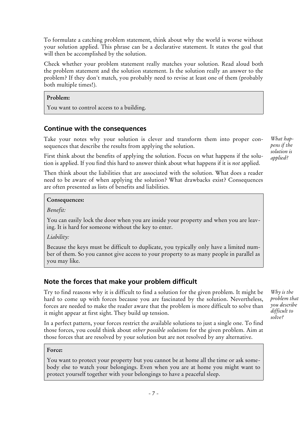To formulate a catching problem statement, think about why the world is worse without your solution applied. This phrase can be a declarative statement. It states the goal that will then be accomplished by the solution.

Check whether your problem statement really matches your solution. Read aloud both the problem statement and the solution statement. Is the solution really an answer to the problem? If they don't match, you probably need to revise at least one of them (probably both multiple times!).

#### **Problem:**

You want to control access to a building.

## **Continue with the consequences**

Take your notes why your solution is clever and transform them into proper consequences that describe the results from applying the solution.

First think about the benefits of applying the solution. Focus on what happens if the solution is applied. If you find this hard to answer think about what happens if it is *not* applied.

Then think about the liabilities that are associated with the solution. What does a reader need to be aware of when applying the solution? What drawbacks exist? Consequences are often presented as lists of benefits and liabilities.

#### **Consequences:**

*Benefit:*

You can easily lock the door when you are inside your property and when you are leaving. It is hard for someone without the key to enter.

*Liability:*

Because the keys must be difficult to duplicate, you typically only have a limited number of them. So you cannot give access to your property to as many people in parallel as you may like.

## **Note the forces that make your problem difficult**

Try to find reasons why it is difficult to find a solution for the given problem. It might be hard to come up with forces because you are fascinated by the solution. Nevertheless, forces are needed to make the reader aware that the problem is more difficult to solve than it might appear at first sight. They build up tension.

In a perfect pattern, your forces restrict the available solutions to just a single one. To find those forces, you could think about *other possible solutions* for the given problem. Aim at those forces that are resolved by your solution but are not resolved by any alternative.

#### **Force:**

You want to protect your property but you cannot be at home all the time or ask somebody else to watch your belongings. Even when you are at home you might want to protect yourself together with your belongings to have a peaceful sleep.

*What happens if the solution is applied?*

*Why is the problem that you describe difficult to solve?*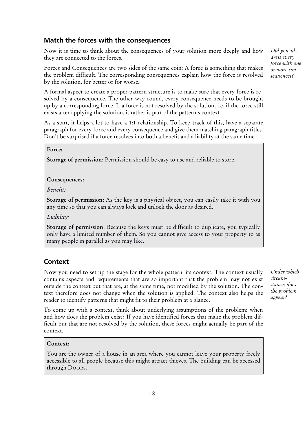## **Match the forces with the consequences**

Now it is time to think about the consequences of your solution more deeply and how they are connected to the forces.

Forces and Consequences are two sides of the same coin: A force is something that makes the problem difficult. The corresponding consequences explain how the force is resolved by the solution, for better or for worse.

A formal aspect to create a proper pattern structure is to make sure that every force is resolved by a consequence. The other way round, every consequence needs to be brought up by a corresponding force. If a force is not resolved by the solution, i.e. if the force still exists after applying the solution, it rather is part of the pattern's context.

As a start, it helps a lot to have a 1:1 relationship. To keep track of this, have a separate paragraph for every force and every consequence and give them matching paragraph titles. Don't be surprised if a force resolves into both a benefit and a liability at the same time.

**Force:**

**Storage of permission**: Permission should be easy to use and reliable to store.

**Consequences:**

*Benefit:*

**Storage of permission**: As the key is a physical object, you can easily take it with you any time so that you can always lock and unlock the door as desired.

*Liability:*

**Storage of permission**: Because the keys must be difficult to duplicate, you typically only have a limited number of them. So you cannot give access to your property to as many people in parallel as you may like.

## **Context**

Now you need to set up the stage for the whole pattern: its context. The context usually contains aspects and requirements that are so important that the problem may not exist outside the context but that are, at the same time, not modified by the solution. The context therefore does not change when the solution is applied. The context also helps the reader to identify patterns that might fit to their problem at a glance.

To come up with a context, think about underlying assumptions of the problem: when and how does the problem exist? If you have identified forces that make the problem difficult but that are not resolved by the solution, these forces might actually be part of the context.

#### **Context:**

You are the owner of a house in an area where you cannot leave your property freely accessible to all people because this might attract thieves. The building can be accessed through Doors.

*Did you address every force with one or more consequences?*

*Under which circumstances does the problem appear?*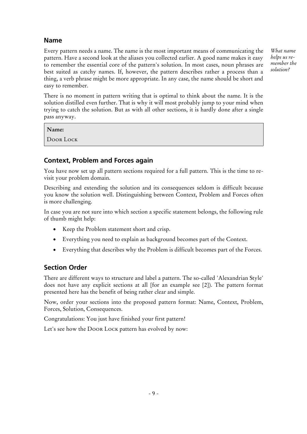## **Name**

Every pattern needs a name. The name is the most important means of communicating the pattern. Have a second look at the aliases you collected earlier. A good name makes it easy to remember the essential core of the pattern's solution. In most cases, noun phrases are best suited as catchy names. If, however, the pattern describes rather a process than a thing, a verb phrase might be more appropriate. In any case, the name should be short and easy to remember.

*What name helps us remember the solution?*

There is no moment in pattern writing that is optimal to think about the name. It is the solution distilled even further. That is why it will most probably jump to your mind when trying to catch the solution. But as with all other sections, it is hardly done after a single pass anyway.

**Name:**

Door Lock

## **Context, Problem and Forces again**

You have now set up all pattern sections required for a full pattern. This is the time to revisit your problem domain.

Describing and extending the solution and its consequences seldom is difficult because you know the solution well. Distinguishing between Context, Problem and Forces often is more challenging.

In case you are not sure into which section a specific statement belongs, the following rule of thumb might help:

- Keep the Problem statement short and crisp.
- Everything you need to explain as background becomes part of the Context.
- Everything that describes why the Problem is difficult becomes part of the Forces.

## **Section Order**

There are different ways to structure and label a pattern. The so-called 'Alexandrian Style' does not have any explicit sections at all [for an example see [2]). The pattern format presented here has the benefit of being rather clear and simple.

Now, order your sections into the proposed pattern format: Name, Context, Problem, Forces, Solution, Consequences.

Congratulations: You just have finished your first pattern!

Let's see how the Door Lock pattern has evolved by now: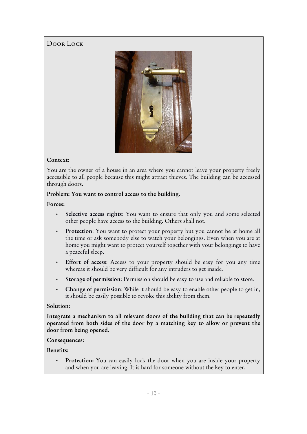## DOOR LOCK



## **Context:**

You are the owner of a house in an area where you cannot leave your property freely accessible to all people because this might attract thieves. The building can be accessed through doors.

### **Problem: You want to control access to the building.**

#### **Forces:**

- **Selective access rights**: You want to ensure that only you and some selected other people have access to the building. Others shall not.
- **Protection:** You want to protect your property but you cannot be at home all the time or ask somebody else to watch your belongings. Even when you are at home you might want to protect yourself together with your belongings to have a peaceful sleep.
- **Effort of access:** Access to your property should be easy for you any time whereas it should be very difficult for any intruders to get inside.
- **Storage of permission**: Permission should be easy to use and reliable to store.
- **Change of permission**: While it should be easy to enable other people to get in, it should be easily possible to revoke this ability from them.

#### **Solution:**

**Integrate a mechanism to all relevant doors of the building that can be repeatedly operated from both sides of the door by a matching key to allow or prevent the door from being opened.** 

#### **Consequences:**

#### **Benefits:**

**Protection:** You can easily lock the door when you are inside your property and when you are leaving. It is hard for someone without the key to enter.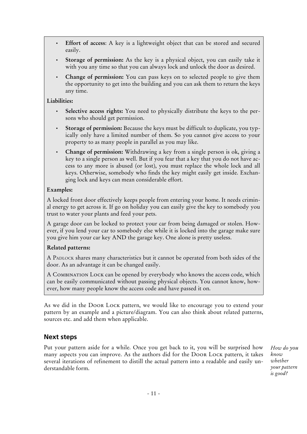- **Effort of access:** A key is a lightweight object that can be stored and secured easily.
- **Storage of permission:** As the key is a physical object, you can easily take it with you any time so that you can always lock and unlock the door as desired.
- **Change of permission:** You can pass keys on to selected people to give them the opportunity to get into the building and you can ask them to return the keys any time.

#### **Liabilities:**

- **Selective access rights:** You need to physically distribute the keys to the persons who should get permission.
- **Storage of permission:** Because the keys must be difficult to duplicate, you typically only have a limited number of them. So you cannot give access to your property to as many people in parallel as you may like.
- **Change of permission:** Withdrawing a key from a single person is ok, giving a key to a single person as well. But if you fear that a key that you do not have access to any more is abused (or lost), you must replace the whole lock and all keys. Otherwise, somebody who finds the key might easily get inside. Exchanging lock and keys can mean considerable effort.

#### **Examples:**

A locked front door effectively keeps people from entering your home. It needs criminal energy to get across it. If go on holiday you can easily give the key to somebody you trust to water your plants and feed your pets.

A garage door can be locked to protect your car from being damaged or stolen. However, if you lend your car to somebody else while it is locked into the garage make sure you give him your car key AND the garage key. One alone is pretty useless.

## **Related patterns:**

A PADLOCK shares many characteristics but it cannot be operated from both sides of the door. As an advantage it can be changed easily.

A Combination Lock can be opened by everybody who knows the access code, which can be easily communicated without passing physical objects. You cannot know, however, how many people know the access code and have passed it on.

As we did in the Door Lock pattern, we would like to encourage you to extend your pattern by an example and a picture/diagram. You can also think about related patterns, sources etc. and add them when applicable.

## **Next steps**

Put your pattern aside for a while. Once you get back to it, you will be surprised how many aspects you can improve. As the authors did for the Door Lock pattern, it takes several iterations of refinement to distill the actual pattern into a readable and easily understandable form.

*How do you know whether your pattern is good?*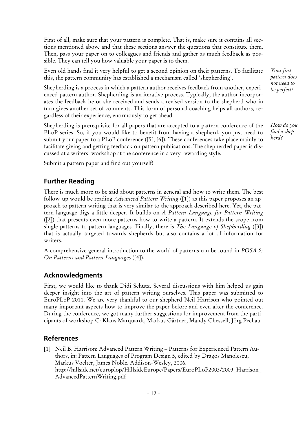First of all, make sure that your pattern is complete. That is, make sure it contains all sections mentioned above and that these sections answer the questions that constitute them. Then, pass your paper on to colleagues and friends and gather as much feedback as possible. They can tell you how valuable your paper is to them.

Even old hands find it very helpful to get a second opinion on their patterns. To facilitate this, the pattern community has established a mechanism called 'shepherding'.

Shepherding is a process in which a pattern author receives feedback from another, experienced pattern author. Shepherding is an iterative process. Typically, the author incorporates the feedback he or she received and sends a revised version to the shepherd who in turn gives another set of comments. This form of personal coaching helps all authors, regardless of their experience, enormously to get ahead.

Shepherding is prerequisite for all papers that are accepted to a pattern conference of the PLoP series. So, if you would like to benefit from having a shepherd, you just need to submit your paper to a PLoP conference ([5], [6]). These conferences take place mainly to facilitate giving and getting feedback on pattern publications. The shepherded paper is discussed at a writers' workshop at the conference in a very rewarding style.

Submit a pattern paper and find out yourself!

### **Further Reading**

There is much more to be said about patterns in general and how to write them. The best follow-up would be reading *Advanced Pattern Writing* ([1]) as this paper proposes an approach to pattern writing that is very similar to the approach described here. Yet, the pattern language digs a little deeper. It builds on *A Pattern Language for Pattern Writing*  ([2]) that presents even more patterns how to write a pattern. It extends the scope from single patterns to pattern languages. Finally, there is *The Language of Shepherding* ([3]) that is actually targeted towards shepherds but also contains a lot of information for writers.

A comprehensive general introduction to the world of patterns can be found in *POSA 5: On Patterns and Pattern Languages* ([4]).

#### **Acknowledgments**

First, we would like to thank Didi Schütz. Several discussions with him helped us gain deeper insight into the art of pattern writing ourselves. This paper was submitted to EuroPLoP 2011. We are very thankful to our shepherd Neil Harrison who pointed out many important aspects how to improve the paper before and even after the conference. During the conference, we got many further suggestions for improvement from the participants of workshop C: Klaus Marquardt, Markus Gärtner, Mandy Chessell, Jörg Pechau.

#### **References**

[1] Neil B. Harrison: Advanced Pattern Writing – Patterns for Experienced Pattern Authors, in: Pattern Languages of Program Design 5, edited by Dragos Manolescu, Markus Voelter, James Noble. Addison-Wesley, 2006. http://hillside.net/europlop/HillsideEurope/Papers/EuroPLoP2003/2003\_Harrison\_ AdvancedPatternWriting.pdf

*Your first pattern does not need to be perfect!* 

*How do you find a shepherd?*